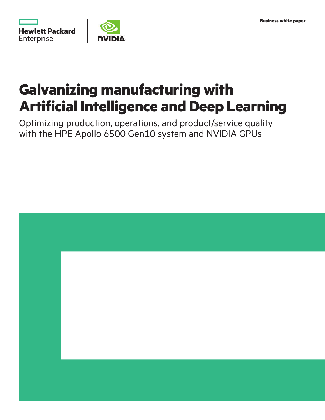

# **Galvanizing manufacturing with Artificial Intelligence and Deep Learning**

Optimizing production, operations, and product/service quality with the HPE Apollo 6500 Gen10 system and NVIDIA GPUs

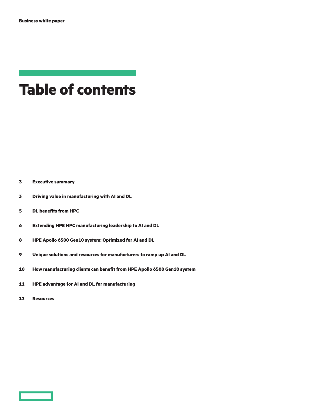## **Table of contents**

**[Executive summary](#page-2-0)**

- **[Driving value in manufacturing with AI and DL](#page-2-0)**
- **[DL benefits from HPC](#page-4-0)**
- **[Extending HPE HPC manufacturing leadership to AI and DL](#page-5-0)**
- **[HPE Apollo 6500 Gen10 system: Optimized for AI and DL](#page-7-0)**
- **[Unique solutions and resources for manufacturers to ramp up AI and DL](#page-8-0)**
- **[How manufacturing clients can benefit from HPE Apollo 6500 Gen10 system](#page-9-0)**
- **[HPE advantage for AI and DL for manufacturing](#page-10-0)**
- **[Resources](#page-11-0)**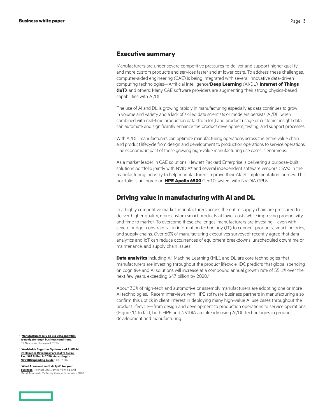#### <span id="page-2-0"></span>**Executive summary**

Manufacturers are under severe competitive pressures to deliver and support higher quality and more custom products and services faster and at lower costs. To address these challenges, computer-aided engineering (CAE) is being integrated with several innovative data-driven computing technologies—Artificial Intelligence/**[Deep Learning](https://www.hpe.com/info/deep-learning)** (AI/DL), **[Internet of Things](https://www.hpe.com/info/iot)  [\(IoT\)](https://www.hpe.com/info/iot)**, and others. Many CAE software providers are augmenting their strong physics-based capabilities with AI/DL.

The use of AI and DL is growing rapidly in manufacturing especially as data continues to grow in volume and variety and a lack of skilled data scientists or modelers persists. AI/DL, when combined with real-time production data (from IoT) and product usage or customer insight data, can automate and significantly enhance the product development, testing, and support processes.

With AI/DL, manufacturers can optimize manufacturing operations across the entire value chain and product lifecycle from design and development to production operations to service operations. The economic impact of these growing high-value manufacturing use cases is enormous.

As a market leader in CAE solutions, Hewlett Packard Enterprise is delivering a purpose-built solutions portfolio jointly with NVIDIA® and several independent software vendors (ISVs) in the manufacturing industry to help manufacturers improve their AI/DL implementation journey. This portfolio is anchored on **[HPE Apollo 6500](https://www.hpe.com/info/apollo)** Gen10 system with NVIDIA GPUs.

#### **Driving value in manufacturing with AI and DL**

In a highly competitive market, manufacturers across the entire supply chain are pressured to deliver higher quality, more custom smart products at lower costs while improving productivity and time to market. To overcome these challenges, manufacturers are investing—even with severe budget constraints—in information technology (IT) to connect products, smart factories, and supply chains. Over 60% of manufacturing executives surveyed<sup>1</sup> recently agree that data analytics and IoT can reduce occurrences of equipment breakdowns, unscheduled downtime or maintenance, and supply chain issues.

**[Data analytics](https://www.hpe.com/services/dataanalytics)** including AI, Machine Learning (ML), and DL are core technologies that manufacturers are investing throughout the product lifecycle. IDC predicts that global spending on cognitive and AI solutions will increase at a compound annual growth rate of 55.1% over the next few years, exceeding \$47 billion by 2020.<sup>2</sup>

About 30% of high-tech and automotive or assembly manufacturers are adopting one or more AI technologies.<sup>3</sup> Recent interviews with HPE software business partners in manufacturing also confirm this uptick in client interest in deploying many high-value AI use cases throughout the product lifecycle—from design and development to production operations to service operations (Figure 1). In fact, both HPE and NVIDIA are already using AI/DL technologies in product development and manufacturing.

<sup>1</sup> "**[Manufacturers rely on Big Data analytics](http://www.multivu.com/players/English/7917551-honeywell-iiot-data-analytics-survey/)  [to navigate tough business conditions](http://www.multivu.com/players/English/7917551-honeywell-iiot-data-analytics-survey/)**," PR Newswire, Honeywell, 2016

<sup>2</sup> "**[Worldwide Cognitive Systems and Artificial](https://www.idc.com/getdoc.jsp?containerId=prUS41878616)  [Intelligence Revenues Forecast to Surge](https://www.idc.com/getdoc.jsp?containerId=prUS41878616)  [Past \\$47 Billion in 2020, According to](https://www.idc.com/getdoc.jsp?containerId=prUS41878616)  [New IDC Spending Guide](https://www.idc.com/getdoc.jsp?containerId=prUS41878616)**," IDC, 2016

<sup>3</sup> "**[What AI can and can't do \(yet\) for your](https://www.mckinsey.com/business-functions/mckinsey-analytics/our-insights/what-ai-can-and-cant-do-yet-for-your-business)  [business](https://www.mckinsey.com/business-functions/mckinsey-analytics/our-insights/what-ai-can-and-cant-do-yet-for-your-business)**," Michael Chui, James Manyika, an Miremadi, McKinsey Quarterly, January 2018

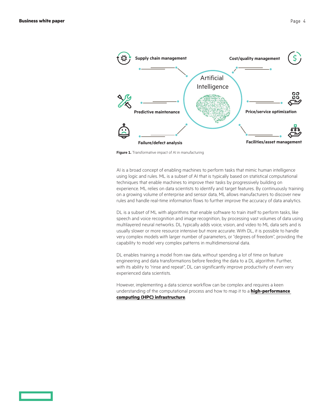

**Figure 1.** Transformative impact of AI in manufacturing

AI is a broad concept of enabling machines to perform tasks that mimic human intelligence using logic and rules. ML is a subset of AI that is typically based on statistical computational techniques that enable machines to improve their tasks by progressively building on experience. ML relies on data scientists to identify and target features. By continuously training on a growing volume of enterprise and sensor data, ML allows manufacturers to discover new rules and handle real-time information flows to further improve the accuracy of data analytics.

DL is a subset of ML with algorithms that enable software to train itself to perform tasks, like speech and voice recognition and image recognition, by processing vast volumes of data using multilayered neural networks. DL typically adds voice, vision, and video to ML data sets and is usually slower or more resource intensive but more accurate. With DL, it is possible to handle very complex models with larger number of parameters, or "degrees of freedom", providing the capability to model very complex patterns in multidimensional data.

DL enables training a model from raw data, without spending a lot of time on feature engineering and data transformations before feeding the data to a DL algorithm. Further, with its ability to "rinse and repeat", DL can significantly improve productivity of even very experienced data scientists.

However, implementing a data science workflow can be complex and requires a keen understanding of the computational process and how to map it to a **[high-performance](https://www.hpe.com/info/hpc/solutions)  [computing \(HPC\) infrastructure](https://www.hpe.com/info/hpc/solutions)**.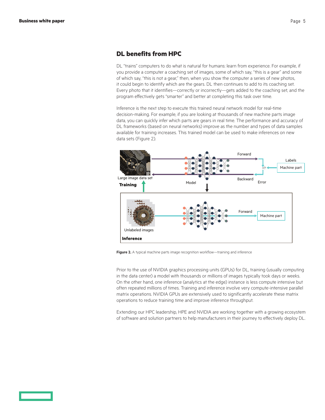#### <span id="page-4-0"></span>**DL benefits from HPC**

DL "trains" computers to do what is natural for humans: learn from experience. For example, if you provide a computer a coaching set of images, some of which say, "this is a gear" and some of which say, "this is not a gear," then, when you show the computer a series of new photos, it could begin to identify which are the gears. DL then continues to add to its coaching set. Every photo that it identifies—correctly or incorrectly—gets added to the coaching set, and the program effectively gets "smarter" and better at completing this task over time.

Inference is the next step to execute this trained neural network model for real-time decision-making. For example, if you are looking at thousands of new machine parts image data, you can quickly infer which parts are gears in real time. The performance and accuracy of DL frameworks (based on neural networks) improve as the number and types of data samples available for training increases. This trained model can be used to make inferences on new data sets (Figure 2).



**Figure 2.** A typical machine parts image recognition workflow—training and inference

Prior to the use of NVIDIA graphics processing units (GPUs) for DL, training (usually computing in the data center) a model with thousands or millions of images typically took days or weeks. On the other hand, one inference (analytics at the edge) instance is less compute intensive but often repeated millions of times. Training and inference involve very compute-intensive parallel matrix operations. NVIDIA GPUs are extensively used to significantly accelerate these matrix operations to reduce training time and improve inference throughput.

Extending our HPC leadership, HPE and NVIDIA are working together with a growing ecosystem of software and solution partners to help manufacturers in their journey to effectively deploy DL.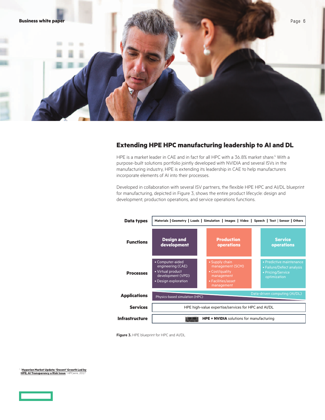<span id="page-5-0"></span>

#### **Extending HPE HPC manufacturing leadership to AI and DL**

HPE is a market leader in CAE and in fact for all HPC with a 36.8% market share.<sup>4</sup> With a purpose-built solutions portfolio jointly developed with NVIDIA and several ISVs in the manufacturing industry, HPE is extending its leadership in CAE to help manufacturers incorporate elements of AI into their processes.

Developed in collaboration with several ISV partners, the flexible HPE HPC and AI/DL blueprint for manufacturing, depicted in Figure 3, shows the entire product lifecycle: design and development, production operations, and service operations functions.



**Figure 3.** HPE blueprint for HPC and AI/DL

<sup>4</sup> "**[Hyperion Market Update: 'Decent' Growth Led by](https://www.hpcwire.com/2017/11/15/hyperion-hpc-market-update-decent-growth-led-hpe-ai-transparency-risk-issue/)  [HPE; AI Transparency a Risk Issue](https://www.hpcwire.com/2017/11/15/hyperion-hpc-market-update-decent-growth-led-hpe-ai-transparency-risk-issue/)," HPCwire**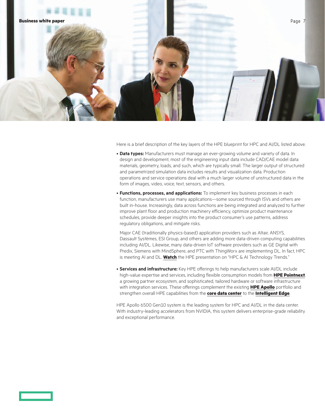

Here is a brief description of the key layers of the HPE blueprint for HPC and AI/DL listed above.

- **Data types:** Manufacturers must manage an ever-growing volume and variety of data. In design and development, most of the engineering input data include CAD/CAE model data: materials, geometry, loads, and such, which are typically small. The larger output of structured and parametrized simulation data includes results and visualization data. Production operations and service operations deal with a much larger volume of unstructured data in the form of images, video, voice, text, sensors, and others.
- **Functions, processes, and applications:** To implement key business processes in each function, manufacturers use many applications—some sourced through ISVs and others are built in-house. Increasingly, data across functions are being integrated and analyzed to further improve plant floor and production machinery efficiency, optimize product maintenance schedules, provide deeper insights into the product consumer's use patterns, address regulatory obligations, and mitigate risks.

Major CAE (traditionally physics-based) application providers such as Altair, ANSYS, Dassault Systèmes, ESI Group, and others are adding more data-driven computing capabilities including AI/DL. Likewise, many data-driven IoT software providers such as GE Digital with Predix, Siemens with MindSphere, and PTC with ThingWorx are implementing DL. In fact, HPC is meeting AI and DL. **[Watch](https://www.youtube.com/watch?v=SF1QlEcWnmo)** the HPE presentation on "HPC & AI Technology Trends."

• **Services and infrastructure:** Key HPE offerings to help manufacturers scale AI/DL include high-value expertise and services, including flexible consumption models from **[HPE Pointnext](https://www.hpe.com/us/en/services.html?pp=false&jumpid=ps_2zpmae1q3g_aid-510380402&gclid=CIDyj5-Zw9kCFQSMswod9HMAEw&gclsrc=ds)**, a growing partner ecosystem, and sophisticated, tailored hardware or software infrastructure with integration services. These offerings complement the existing **[HPE Apollo](https://www.hpe.com/us/en/servers/apollo.html)** portfolio and strengthen overall HPE capabilities from the **[core data center](https://www.hpe.com/us/en/solutions/data-center-infrastructure.html?pp=false&jumpid=ps_pv6rjka7mh_aid-510380402&gclid=CLmlsJTLw9kCFeaGswodIBsBbg&gclsrc=ds)** to the **[Intelligent Edge](https://www.hpe.com/us/en/what-is/intelligent-edge.html)**.

HPE Apollo 6500 Gen10 system is the leading system for HPC and AI/DL in the data center. With industry-leading accelerators from NVIDIA, this system delivers enterprise-grade reliability and exceptional performance.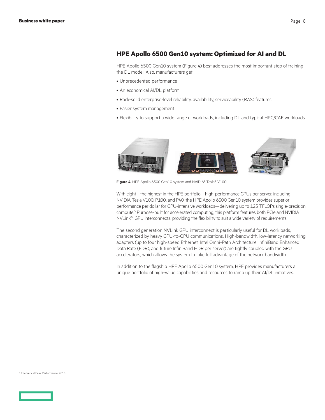#### <span id="page-7-0"></span>**HPE Apollo 6500 Gen10 system: Optimized for AI and DL**

HPE Apollo 6500 Gen10 system (Figure 4) best addresses the most important step of training the DL model. Also, manufacturers get

- • Unprecedented performance
- An economical AI/DL platform
- Rock-solid enterprise-level reliability, availability, serviceability (RAS) features
- Easier system management
- • Flexibility to support a wide range of workloads, including DL and typical HPC/CAE workloads



**Figure 4.** HPE Apollo 6500 Gen10 system and NVIDIA® Tesla® V100

With eight—the highest in the HPE portfolio—high-performance GPUs per server, including NVIDIA Tesla V100, P100, and P40, the HPE Apollo 6500 Gen10 system provides superior performance per dollar for GPU-intensive workloads—delivering up to 125 TFLOPs single-precision compute.<sup>5</sup> Purpose-built for accelerated computing, this platform features both PCIe and NVIDIA NVLink™ GPU interconnects, providing the flexibility to suit a wide variety of requirements.

The second generation NVLink GPU interconnect is particularly useful for DL workloads, characterized by heavy GPU-to-GPU communications. High-bandwidth, low-latency networking adapters (up to four high-speed Ethernet, Intel Omni-Path Architecture, InfiniBand Enhanced Data Rate (EDR), and future InfiniBand HDR per server) are tightly coupled with the GPU accelerators, which allows the system to take full advantage of the network bandwidth.

In addition to the flagship HPE Apollo 6500 Gen10 system, HPE provides manufacturers a unique portfolio of high-value capabilities and resources to ramp up their AI/DL initiatives.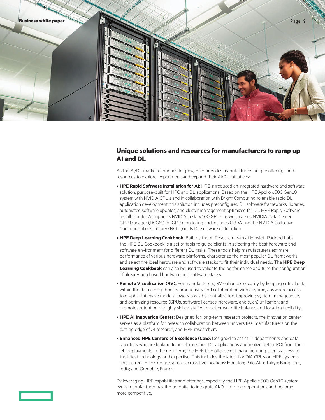<span id="page-8-0"></span>

#### **Unique solutions and resources for manufacturers to ramp up AI and DL**

As the AI/DL market continues to grow, HPE provides manufacturers unique offerings and resources to explore, experiment, and expand their AI/DL initiatives:

- **HPE Rapid Software Installation for AI:** HPE introduced an integrated hardware and software solution, purpose-built for HPC and DL applications. Based on the HPE Apollo 6500 Gen10 system with NVIDIA GPU's and in collaboration with Bright Computing to enable rapid DL application development, this solution includes preconfigured DL software frameworks, libraries, automated software updates, and cluster management optimized for DL. HPE Rapid Software Installation for AI supports NVIDIA Tesla V100 GPU's as well as uses NVIDIA Data Center GPU Manager (DCGM) for GPU monitoring and includes CUDA and the NVIDIA Collective Communications Library (NCCL) in its DL software distribution.
- **HPE Deep Learning Cookbook:** Built by the AI Research team at Hewlett Packard Labs, the HPE DL Cookbook is a set of tools to guide clients in selecting the best hardware and software environment for different DL tasks. These tools help manufacturers estimate performance of various hardware platforms, characterize the most popular DL frameworks, and select the ideal hardware and software stacks to fit their individual needs. The **HPE [Deep](https://developer.hpe.com/platform/deep-learning-cookbook/home)  [Learning Cookbook](https://developer.hpe.com/platform/deep-learning-cookbook/home)** can also be used to validate the performance and tune the configuration of already purchased hardware and software stacks.
- **Remote Visualization (RV):** For manufacturers, RV enhances security by keeping critical data within the data center; boosts productivity and collaboration with anytime, anywhere access to graphic-intensive models; lowers costs by centralization, improving system manageability and optimizing resource (GPUs, software licenses, hardware, and such) utilization; and promotes retention of highly skilled staff with better work-life balance and location flexibility.
- **HPE AI Innovation Center:** Designed for long-term research projects, the innovation center serves as a platform for research collaboration between universities, manufacturers on the cutting edge of AI research, and HPE researchers.
- **Enhanced HPE Centers of Excellence (CoE):** Designed to assist IT departments and data scientists who are looking to accelerate their DL applications and realize better ROI from their DL deployments in the near term, the HPE CoE offer select manufacturing clients access to the latest technology and expertise. This includes the latest NVIDIA GPUs on HPE systems. The current HPE CoE are spread across five locations: Houston; Palo Alto; Tokyo; Bangalore, India; and Grenoble, France.

By leveraging HPE capabilities and offerings, especially the HPE Apollo 6500 Gen10 system, every manufacturer has the potential to integrate AI/DL into their operations and become more competitive.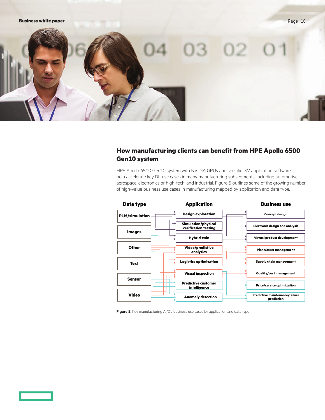### <span id="page-9-0"></span>**How manufacturing clients can benefit from HPE Apollo 6500 Gen10 system**

HPE Apollo 6500 Gen10 system with NVIDIA GPUs and specific ISV application software help accelerate key DL use cases in many manufacturing subsegments, including automotive, aerospace, electronics or high-tech, and industrial. Figure 5 outlines some of the growing number of high-value business use cases in manufacturing mapped by application and data type.



**Figure 5.** Key manufacturing AI/DL business use cases by application and data type

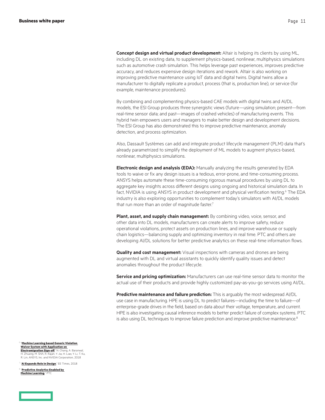<span id="page-10-0"></span>**Concept design and virtual product development:** Altair is helping its clients by using ML, including DL on existing data, to supplement physics-based, nonlinear, multiphysics simulations such as automotive crash simulation. This helps leverage past experiences, improves predictive accuracy, and reduces expensive design iterations and rework. Altair is also working on improving predictive maintenance using IoT data and digital twins. Digital twins allow a manufacturer to digitally replicate a product, process (that is, production line), or service (for example, maintenance procedures).

By combining and complementing physics-based CAE models with digital twins and AI/DL models, the ESI Group produces three synergistic views (future—using simulation; present—from real-time sensor data; and past—images of crashed vehicles) of manufacturing events. This hybrid twin empowers users and managers to make better design and development decisions. The ESI Group has also demonstrated this to improve predictive maintenance, anomaly detection, and process optimization.

Also, Dassault Systèmes can add and integrate product lifecycle management (PLM) data that's already parametrized to simplify the deployment of ML models to augment physics-based, nonlinear, multiphysics simulations.

**Electronic design and analysis (EDA):** Manually analyzing the results generated by EDA tools to waive or fix any design issues is a tedious, error-prone, and time-consuming process. ANSYS helps automate these time-consuming rigorous manual procedures by using DL to aggregate key insights across different designs using ongoing and historical simulation data. In fact, NVIDIA is using ANSYS in product development and physical verification testing.<sup>6</sup> The EDA industry is also exploring opportunities to complement today's simulators with AI/DL models that run more than an order of magnitude faster.<sup>7</sup>

**Plant, asset, and supply chain management:** By combining video, voice, sensor, and other data into DL models, manufacturers can create alerts to improve safety, reduce operational violations, protect assets on production lines, and improve warehouse or supply chain logistics—balancing supply and optimizing inventory in real time. PTC and others are developing AI/DL solutions for better predictive analytics on these real-time information flows.

**Quality and cost management:** Visual inspections with cameras and drones are being augmented with DL and virtual assistants to quickly identify quality issues and detect anomalies throughout the product lifecycle.

**Service and pricing optimization:** Manufacturers can use real-time sensor data to monitor the actual use of their products and provide highly customized pay-as-you-go services using AI/DL.

**Predictive maintenance and failure prediction:** This is arguably the most widespread AI/DL use case in manufacturing. HPE is using DL to predict failures—including the time to failure—of enterprise-grade drives in the field, based on data about their voltage, temperature, and current. HPE is also investigating causal inference models to better predict failure of complex systems. PTC is also using DL techniques to improve failure prediction and improve predictive maintenance.<sup>8</sup>

<sup>6</sup> "**[Machine Learning based Generic Violation](http://ieeexplore.ieee.org/document/8297359/)  [Waiver System with Application on](http://ieeexplore.ieee.org/document/8297359/)  [Electromigration Sign-off](http://ieeexplore.ieee.org/document/8297359/)**," N. Chang, A. Baranwal, H. Zhuang, M. Shih, R. Rajan, Y. Jia, H. Liao, Y. Li, T. Ku, R. Lin, ANSYS, Inc. and NVIDIA Corporation, 2018

<sup>7</sup> "**[AI Expands Role in Design](https://www.eetimes.com/document.asp?doc_id=1332917)**," EE Times, 2018

<sup>8</sup> "**[Predictive Analytics Enabled by](https://www.ptc.com/en/resources/iot/video/predictive-analytics-machine-learning)  [Machine Learning](https://www.ptc.com/en/resources/iot/video/predictive-analytics-machine-learning)**," PT